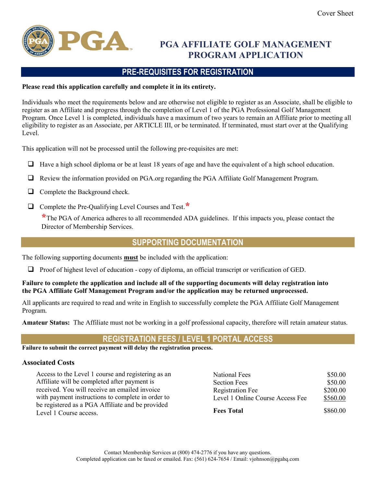

## PGA AFFILIATE GOLF MANAGEMENT PROGRAM APPLICATION

## PRE-REQUISITES FOR REGISTRATION

## Please read this application carefully and complete it in its entirety.

Individuals who meet the requirements below and are otherwise not eligible to register as an Associate, shall be eligible to register as an Affiliate and progress through the completion of Level 1 of the PGA Professional Golf Management Program. Once Level 1 is completed, individuals have a maximum of two years to remain an Affiliate prior to meeting all eligibility to register as an Associate, per ARTICLE III, or be terminated. If terminated, must start over at the Qualifying Level.

This application will not be processed until the following pre-requisites are met:

- $\Box$  Have a high school diploma or be at least 18 years of age and have the equivalent of a high school education.
- Review the information provided on PGA.org regarding the PGA Affiliate Golf Management Program.
- $\Box$  Complete the Background check.
- $\Box$  Complete the Pre-Oualifying Level Courses and Test.  $\star$

\*The PGA of America adheres to all recommended ADA guidelines. If this impacts you, please contact the Director of Membership Services.

## SUPPORTING DOCUMENTATION

The following supporting documents must be included with the application:

Proof of highest level of education - copy of diploma, an official transcript or verification of GED.

### Failure to complete the application and include all of the supporting documents will delay registration into the PGA Affiliate Golf Management Program and/or the application may be returned unprocessed.

All applicants are required to read and write in English to successfully complete the PGA Affiliate Golf Management Program.

Amateur Status: The Affiliate must not be working in a golf professional capacity, therefore will retain amateur status.

## REGISTRATION FEES / LEVEL 1 PORTAL ACCESS

Failure to submit the correct payment will delay the registration process.

#### Associated Costs

Access to the Level 1 course and registering as an Affiliate will be completed after payment is received. You will receive an emailed invoice with payment instructions to complete in order to be registered as a PGA Affiliate and be provided Level 1 Course access.

| National Fees                    | \$50.00  |
|----------------------------------|----------|
| <b>Section Fees</b>              | \$50.00  |
| <b>Registration Fee</b>          | \$200.00 |
| Level 1 Online Course Access Fee | \$560.00 |
| <b>Fees Total</b>                | \$860.00 |